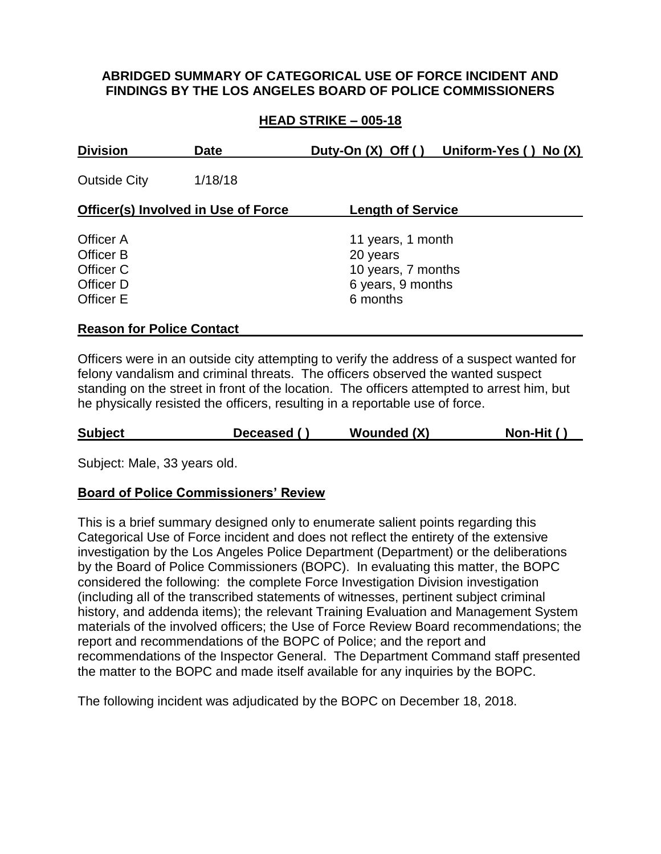### **ABRIDGED SUMMARY OF CATEGORICAL USE OF FORCE INCIDENT AND FINDINGS BY THE LOS ANGELES BOARD OF POLICE COMMISSIONERS**

## **HEAD STRIKE – 005-18**

| <b>Division</b>                                               | <b>Date</b> |                                                                                      | Duty-On $(X)$ Off $()$ Uniform-Yes $()$ No $(X)$ |
|---------------------------------------------------------------|-------------|--------------------------------------------------------------------------------------|--------------------------------------------------|
| <b>Outside City</b>                                           | 1/18/18     |                                                                                      |                                                  |
| <b>Officer(s) Involved in Use of Force</b>                    |             | <b>Length of Service</b>                                                             |                                                  |
| Officer A<br>Officer B<br>Officer C<br>Officer D<br>Officer E |             | 11 years, 1 month<br>20 years<br>10 years, 7 months<br>6 years, 9 months<br>6 months |                                                  |

#### **Reason for Police Contact**

Officers were in an outside city attempting to verify the address of a suspect wanted for felony vandalism and criminal threats. The officers observed the wanted suspect standing on the street in front of the location. The officers attempted to arrest him, but he physically resisted the officers, resulting in a reportable use of force.

| <b>Subject</b> |  | Deceased () | <b>Wounded (X)</b> | Non-Hit () |
|----------------|--|-------------|--------------------|------------|
|----------------|--|-------------|--------------------|------------|

Subject: Male, 33 years old.

#### **Board of Police Commissioners' Review**

This is a brief summary designed only to enumerate salient points regarding this Categorical Use of Force incident and does not reflect the entirety of the extensive investigation by the Los Angeles Police Department (Department) or the deliberations by the Board of Police Commissioners (BOPC). In evaluating this matter, the BOPC considered the following: the complete Force Investigation Division investigation (including all of the transcribed statements of witnesses, pertinent subject criminal history, and addenda items); the relevant Training Evaluation and Management System materials of the involved officers; the Use of Force Review Board recommendations; the report and recommendations of the BOPC of Police; and the report and recommendations of the Inspector General. The Department Command staff presented the matter to the BOPC and made itself available for any inquiries by the BOPC.

The following incident was adjudicated by the BOPC on December 18, 2018.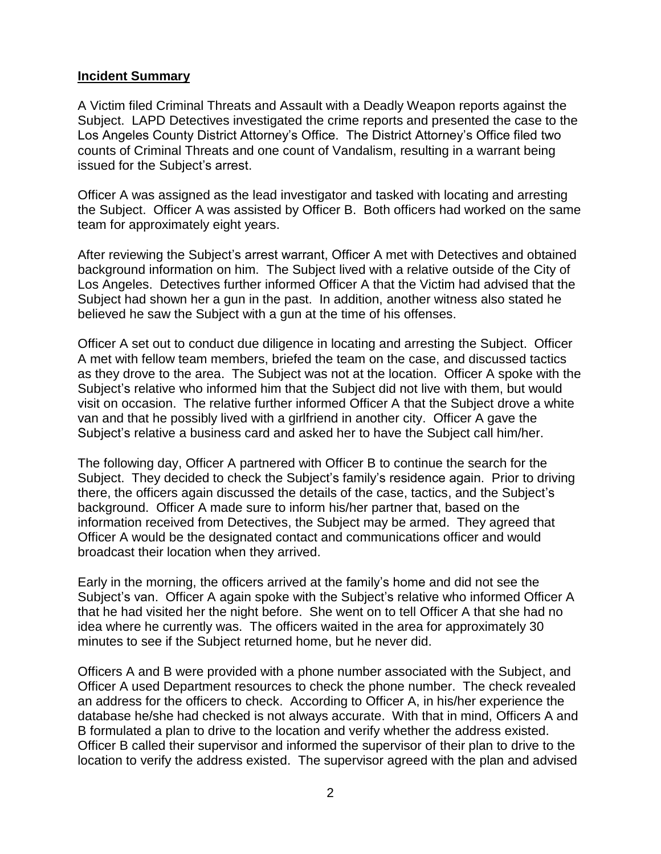### **Incident Summary**

A Victim filed Criminal Threats and Assault with a Deadly Weapon reports against the Subject. LAPD Detectives investigated the crime reports and presented the case to the Los Angeles County District Attorney's Office. The District Attorney's Office filed two counts of Criminal Threats and one count of Vandalism, resulting in a warrant being issued for the Subject's arrest.

Officer A was assigned as the lead investigator and tasked with locating and arresting the Subject. Officer A was assisted by Officer B. Both officers had worked on the same team for approximately eight years.

After reviewing the Subject's arrest warrant, Officer A met with Detectives and obtained background information on him. The Subject lived with a relative outside of the City of Los Angeles. Detectives further informed Officer A that the Victim had advised that the Subject had shown her a gun in the past. In addition, another witness also stated he believed he saw the Subject with a gun at the time of his offenses.

Officer A set out to conduct due diligence in locating and arresting the Subject. Officer A met with fellow team members, briefed the team on the case, and discussed tactics as they drove to the area. The Subject was not at the location. Officer A spoke with the Subject's relative who informed him that the Subject did not live with them, but would visit on occasion. The relative further informed Officer A that the Subject drove a white van and that he possibly lived with a girlfriend in another city. Officer A gave the Subject's relative a business card and asked her to have the Subject call him/her.

The following day, Officer A partnered with Officer B to continue the search for the Subject. They decided to check the Subject's family's residence again. Prior to driving there, the officers again discussed the details of the case, tactics, and the Subject's background. Officer A made sure to inform his/her partner that, based on the information received from Detectives, the Subject may be armed. They agreed that Officer A would be the designated contact and communications officer and would broadcast their location when they arrived.

Early in the morning, the officers arrived at the family's home and did not see the Subject's van. Officer A again spoke with the Subject's relative who informed Officer A that he had visited her the night before. She went on to tell Officer A that she had no idea where he currently was. The officers waited in the area for approximately 30 minutes to see if the Subject returned home, but he never did.

Officers A and B were provided with a phone number associated with the Subject, and Officer A used Department resources to check the phone number. The check revealed an address for the officers to check. According to Officer A, in his/her experience the database he/she had checked is not always accurate. With that in mind, Officers A and B formulated a plan to drive to the location and verify whether the address existed. Officer B called their supervisor and informed the supervisor of their plan to drive to the location to verify the address existed. The supervisor agreed with the plan and advised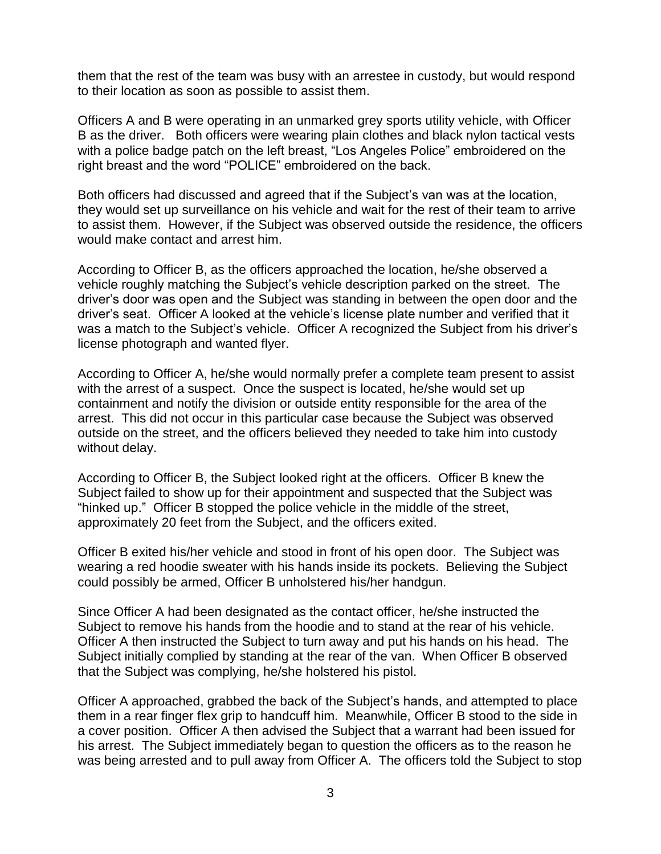them that the rest of the team was busy with an arrestee in custody, but would respond to their location as soon as possible to assist them.

Officers A and B were operating in an unmarked grey sports utility vehicle, with Officer B as the driver. Both officers were wearing plain clothes and black nylon tactical vests with a police badge patch on the left breast, "Los Angeles Police" embroidered on the right breast and the word "POLICE" embroidered on the back.

Both officers had discussed and agreed that if the Subject's van was at the location, they would set up surveillance on his vehicle and wait for the rest of their team to arrive to assist them. However, if the Subject was observed outside the residence, the officers would make contact and arrest him.

According to Officer B, as the officers approached the location, he/she observed a vehicle roughly matching the Subject's vehicle description parked on the street. The driver's door was open and the Subject was standing in between the open door and the driver's seat. Officer A looked at the vehicle's license plate number and verified that it was a match to the Subject's vehicle. Officer A recognized the Subject from his driver's license photograph and wanted flyer.

According to Officer A, he/she would normally prefer a complete team present to assist with the arrest of a suspect. Once the suspect is located, he/she would set up containment and notify the division or outside entity responsible for the area of the arrest. This did not occur in this particular case because the Subject was observed outside on the street, and the officers believed they needed to take him into custody without delay.

According to Officer B, the Subject looked right at the officers. Officer B knew the Subject failed to show up for their appointment and suspected that the Subject was "hinked up." Officer B stopped the police vehicle in the middle of the street, approximately 20 feet from the Subject, and the officers exited.

Officer B exited his/her vehicle and stood in front of his open door. The Subject was wearing a red hoodie sweater with his hands inside its pockets. Believing the Subject could possibly be armed, Officer B unholstered his/her handgun.

Since Officer A had been designated as the contact officer, he/she instructed the Subject to remove his hands from the hoodie and to stand at the rear of his vehicle. Officer A then instructed the Subject to turn away and put his hands on his head. The Subject initially complied by standing at the rear of the van. When Officer B observed that the Subject was complying, he/she holstered his pistol.

Officer A approached, grabbed the back of the Subject's hands, and attempted to place them in a rear finger flex grip to handcuff him. Meanwhile, Officer B stood to the side in a cover position. Officer A then advised the Subject that a warrant had been issued for his arrest. The Subject immediately began to question the officers as to the reason he was being arrested and to pull away from Officer A. The officers told the Subject to stop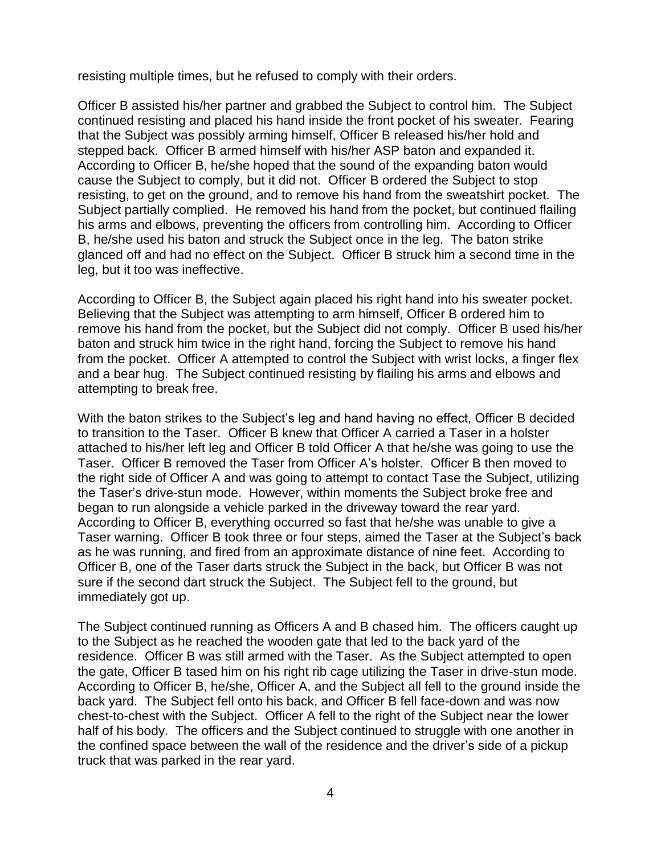resisting multiple times, but he refused to comply with their orders.

Officer B assisted his/her partner and grabbed the Subject to control him. The Subject continued resisting and placed his hand inside the front pocket of his sweater. Fearing that the Subject was possibly arming himself, Officer B released his/her hold and stepped back. Officer B armed himself with his/her ASP baton and expanded it. According to Officer B, he/she hoped that the sound of the expanding baton would cause the Subject to comply, but it did not. Officer B ordered the Subject to stop resisting, to get on the ground, and to remove his hand from the sweatshirt pocket. The Subject partially complied. He removed his hand from the pocket, but continued flailing his arms and elbows, preventing the officers from controlling him. According to Officer B, he/she used his baton and struck the Subject once in the leg. The baton strike glanced off and had no effect on the Subject. Officer B struck him a second time in the leg, but it too was ineffective.

According to Officer B, the Subject again placed his right hand into his sweater pocket. Believing that the Subject was attempting to arm himself, Officer B ordered him to remove his hand from the pocket, but the Subject did not comply. Officer B used his/her baton and struck him twice in the right hand, forcing the Subject to remove his hand from the pocket. Officer A attempted to control the Subject with wrist locks, a finger flex and a bear hug. The Subject continued resisting by flailing his arms and elbows and attempting to break free.

With the baton strikes to the Subject's leg and hand having no effect, Officer B decided to transition to the Taser. Officer B knew that Officer A carried a Taser in a holster attached to his/her left leg and Officer B told Officer A that he/she was going to use the Taser. Officer B removed the Taser from Officer A's holster. Officer B then moved to the right side of Officer A and was going to attempt to contact Tase the Subject, utilizing the Taser's drive-stun mode. However, within moments the Subject broke free and began to run alongside a vehicle parked in the driveway toward the rear yard. According to Officer B, everything occurred so fast that he/she was unable to give a Taser warning. Officer B took three or four steps, aimed the Taser at the Subject's back as he was running, and fired from an approximate distance of nine feet. According to Officer B, one of the Taser darts struck the Subject in the back, but Officer B was not sure if the second dart struck the Subject. The Subject fell to the ground, but immediately got up.

The Subject continued running as Officers A and B chased him. The officers caught up to the Subject as he reached the wooden gate that led to the back yard of the residence. Officer B was still armed with the Taser. As the Subject attempted to open the gate, Officer B tased him on his right rib cage utilizing the Taser in drive-stun mode. According to Officer B, he/she, Officer A, and the Subject all fell to the ground inside the back yard. The Subject fell onto his back, and Officer B fell face-down and was now chest-to-chest with the Subject. Officer A fell to the right of the Subject near the lower half of his body. The officers and the Subject continued to struggle with one another in the confined space between the wall of the residence and the driver's side of a pickup truck that was parked in the rear yard.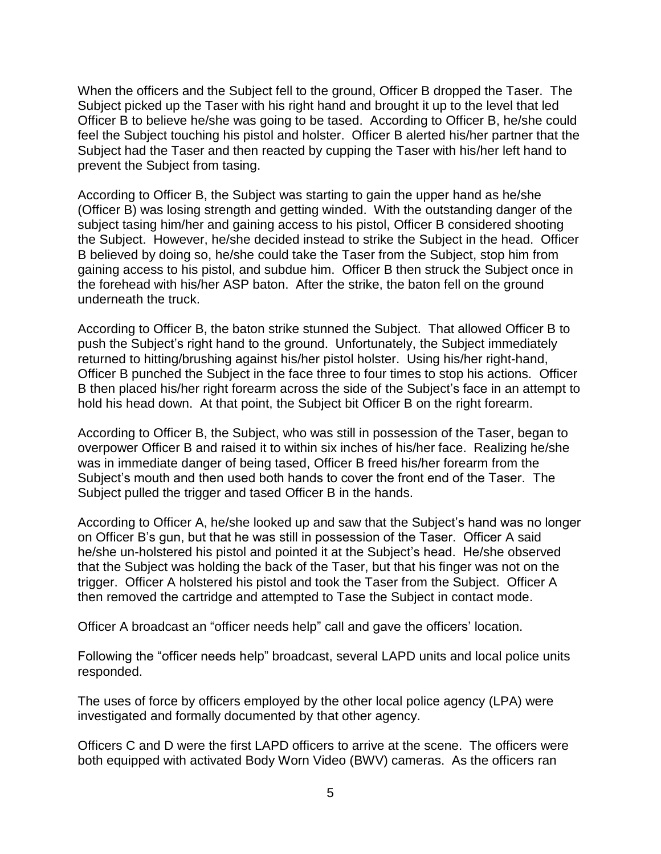When the officers and the Subject fell to the ground, Officer B dropped the Taser. The Subject picked up the Taser with his right hand and brought it up to the level that led Officer B to believe he/she was going to be tased. According to Officer B, he/she could feel the Subject touching his pistol and holster. Officer B alerted his/her partner that the Subject had the Taser and then reacted by cupping the Taser with his/her left hand to prevent the Subject from tasing.

According to Officer B, the Subject was starting to gain the upper hand as he/she (Officer B) was losing strength and getting winded. With the outstanding danger of the subject tasing him/her and gaining access to his pistol, Officer B considered shooting the Subject. However, he/she decided instead to strike the Subject in the head. Officer B believed by doing so, he/she could take the Taser from the Subject, stop him from gaining access to his pistol, and subdue him. Officer B then struck the Subject once in the forehead with his/her ASP baton. After the strike, the baton fell on the ground underneath the truck.

According to Officer B, the baton strike stunned the Subject. That allowed Officer B to push the Subject's right hand to the ground. Unfortunately, the Subject immediately returned to hitting/brushing against his/her pistol holster. Using his/her right-hand, Officer B punched the Subject in the face three to four times to stop his actions. Officer B then placed his/her right forearm across the side of the Subject's face in an attempt to hold his head down. At that point, the Subject bit Officer B on the right forearm.

According to Officer B, the Subject, who was still in possession of the Taser, began to overpower Officer B and raised it to within six inches of his/her face. Realizing he/she was in immediate danger of being tased, Officer B freed his/her forearm from the Subject's mouth and then used both hands to cover the front end of the Taser. The Subject pulled the trigger and tased Officer B in the hands.

According to Officer A, he/she looked up and saw that the Subject's hand was no longer on Officer B's gun, but that he was still in possession of the Taser. Officer A said he/she un-holstered his pistol and pointed it at the Subject's head. He/she observed that the Subject was holding the back of the Taser, but that his finger was not on the trigger. Officer A holstered his pistol and took the Taser from the Subject. Officer A then removed the cartridge and attempted to Tase the Subject in contact mode.

Officer A broadcast an "officer needs help" call and gave the officers' location.

Following the "officer needs help" broadcast, several LAPD units and local police units responded.

The uses of force by officers employed by the other local police agency (LPA) were investigated and formally documented by that other agency.

Officers C and D were the first LAPD officers to arrive at the scene. The officers were both equipped with activated Body Worn Video (BWV) cameras. As the officers ran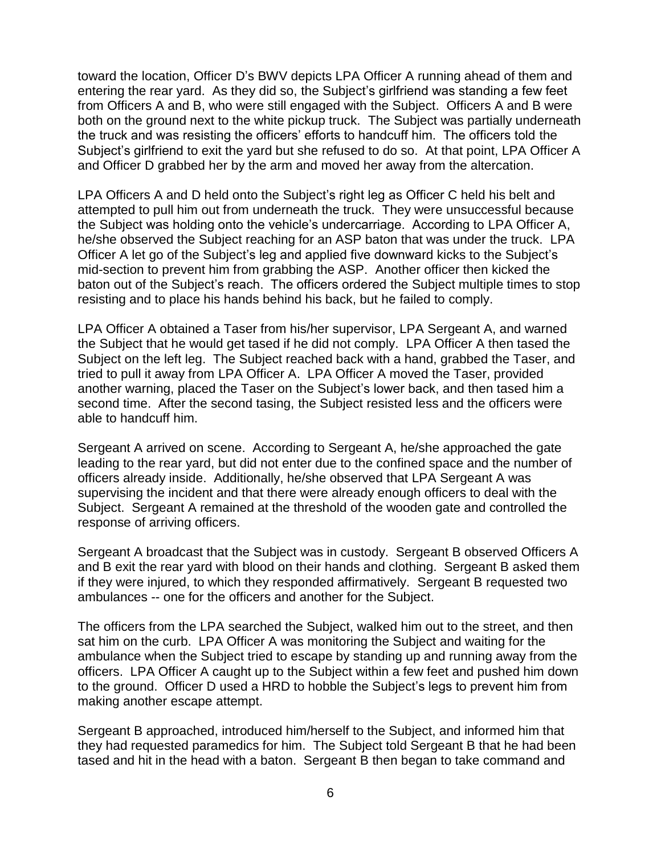toward the location, Officer D's BWV depicts LPA Officer A running ahead of them and entering the rear yard. As they did so, the Subject's girlfriend was standing a few feet from Officers A and B, who were still engaged with the Subject. Officers A and B were both on the ground next to the white pickup truck. The Subject was partially underneath the truck and was resisting the officers' efforts to handcuff him. The officers told the Subject's girlfriend to exit the yard but she refused to do so. At that point, LPA Officer A and Officer D grabbed her by the arm and moved her away from the altercation.

LPA Officers A and D held onto the Subject's right leg as Officer C held his belt and attempted to pull him out from underneath the truck. They were unsuccessful because the Subject was holding onto the vehicle's undercarriage. According to LPA Officer A, he/she observed the Subject reaching for an ASP baton that was under the truck. LPA Officer A let go of the Subject's leg and applied five downward kicks to the Subject's mid-section to prevent him from grabbing the ASP. Another officer then kicked the baton out of the Subject's reach. The officers ordered the Subject multiple times to stop resisting and to place his hands behind his back, but he failed to comply.

LPA Officer A obtained a Taser from his/her supervisor, LPA Sergeant A, and warned the Subject that he would get tased if he did not comply. LPA Officer A then tased the Subject on the left leg. The Subject reached back with a hand, grabbed the Taser, and tried to pull it away from LPA Officer A. LPA Officer A moved the Taser, provided another warning, placed the Taser on the Subject's lower back, and then tased him a second time. After the second tasing, the Subject resisted less and the officers were able to handcuff him.

Sergeant A arrived on scene. According to Sergeant A, he/she approached the gate leading to the rear yard, but did not enter due to the confined space and the number of officers already inside. Additionally, he/she observed that LPA Sergeant A was supervising the incident and that there were already enough officers to deal with the Subject. Sergeant A remained at the threshold of the wooden gate and controlled the response of arriving officers.

Sergeant A broadcast that the Subject was in custody. Sergeant B observed Officers A and B exit the rear yard with blood on their hands and clothing. Sergeant B asked them if they were injured, to which they responded affirmatively. Sergeant B requested two ambulances -- one for the officers and another for the Subject.

The officers from the LPA searched the Subject, walked him out to the street, and then sat him on the curb. LPA Officer A was monitoring the Subject and waiting for the ambulance when the Subject tried to escape by standing up and running away from the officers. LPA Officer A caught up to the Subject within a few feet and pushed him down to the ground. Officer D used a HRD to hobble the Subject's legs to prevent him from making another escape attempt.

Sergeant B approached, introduced him/herself to the Subject, and informed him that they had requested paramedics for him. The Subject told Sergeant B that he had been tased and hit in the head with a baton. Sergeant B then began to take command and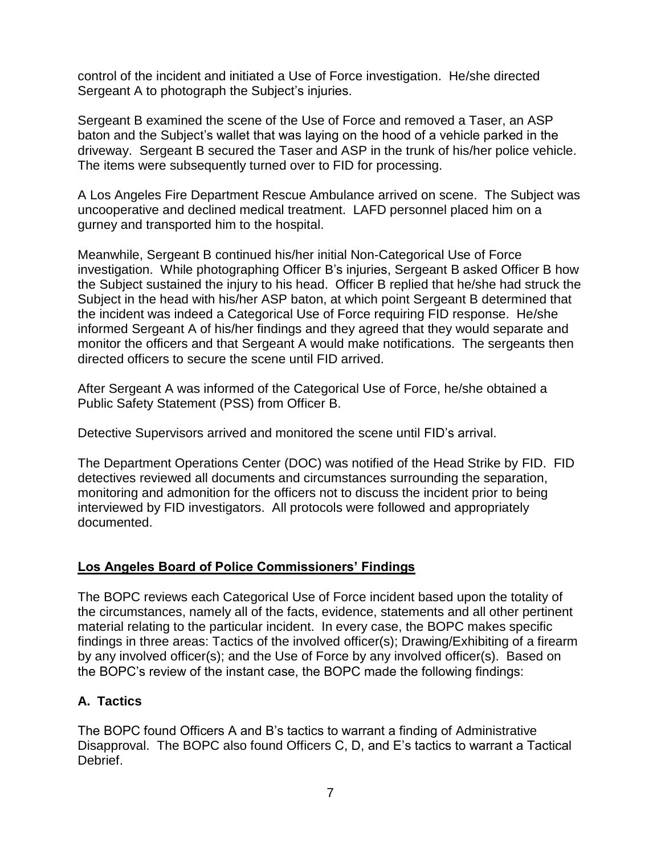control of the incident and initiated a Use of Force investigation. He/she directed Sergeant A to photograph the Subject's injuries.

Sergeant B examined the scene of the Use of Force and removed a Taser, an ASP baton and the Subject's wallet that was laying on the hood of a vehicle parked in the driveway. Sergeant B secured the Taser and ASP in the trunk of his/her police vehicle. The items were subsequently turned over to FID for processing.

A Los Angeles Fire Department Rescue Ambulance arrived on scene. The Subject was uncooperative and declined medical treatment. LAFD personnel placed him on a gurney and transported him to the hospital.

Meanwhile, Sergeant B continued his/her initial Non-Categorical Use of Force investigation. While photographing Officer B's injuries, Sergeant B asked Officer B how the Subject sustained the injury to his head. Officer B replied that he/she had struck the Subject in the head with his/her ASP baton, at which point Sergeant B determined that the incident was indeed a Categorical Use of Force requiring FID response. He/she informed Sergeant A of his/her findings and they agreed that they would separate and monitor the officers and that Sergeant A would make notifications. The sergeants then directed officers to secure the scene until FID arrived.

After Sergeant A was informed of the Categorical Use of Force, he/she obtained a Public Safety Statement (PSS) from Officer B.

Detective Supervisors arrived and monitored the scene until FID's arrival.

The Department Operations Center (DOC) was notified of the Head Strike by FID. FID detectives reviewed all documents and circumstances surrounding the separation, monitoring and admonition for the officers not to discuss the incident prior to being interviewed by FID investigators. All protocols were followed and appropriately documented.

# **Los Angeles Board of Police Commissioners' Findings**

The BOPC reviews each Categorical Use of Force incident based upon the totality of the circumstances, namely all of the facts, evidence, statements and all other pertinent material relating to the particular incident. In every case, the BOPC makes specific findings in three areas: Tactics of the involved officer(s); Drawing/Exhibiting of a firearm by any involved officer(s); and the Use of Force by any involved officer(s). Based on the BOPC's review of the instant case, the BOPC made the following findings:

# **A. Tactics**

The BOPC found Officers A and B's tactics to warrant a finding of Administrative Disapproval. The BOPC also found Officers C, D, and E's tactics to warrant a Tactical Debrief.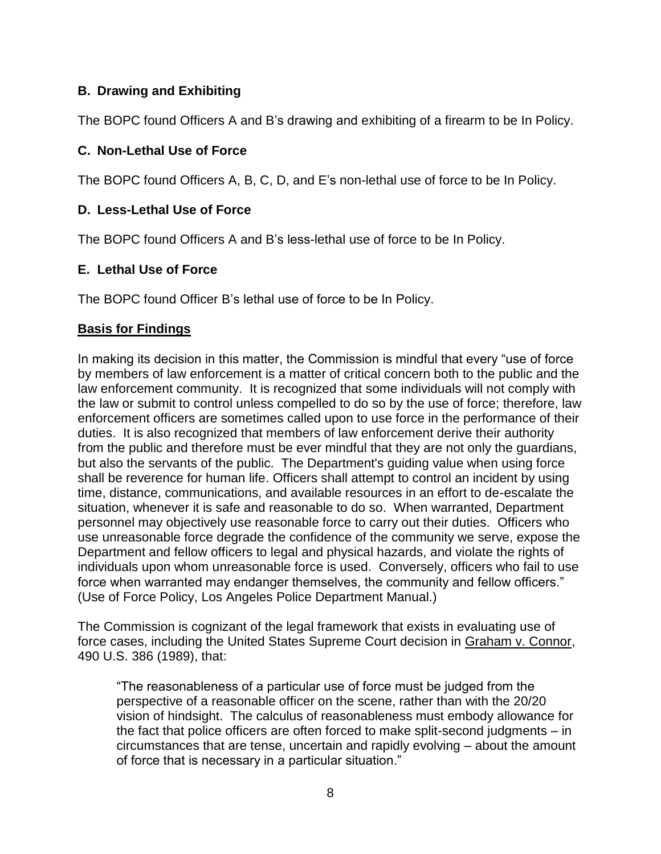# **B. Drawing and Exhibiting**

The BOPC found Officers A and B's drawing and exhibiting of a firearm to be In Policy.

# **C. Non-Lethal Use of Force**

The BOPC found Officers A, B, C, D, and E's non-lethal use of force to be In Policy.

# **D. Less-Lethal Use of Force**

The BOPC found Officers A and B's less-lethal use of force to be In Policy.

# **E. Lethal Use of Force**

The BOPC found Officer B's lethal use of force to be In Policy.

# **Basis for Findings**

In making its decision in this matter, the Commission is mindful that every "use of force by members of law enforcement is a matter of critical concern both to the public and the law enforcement community. It is recognized that some individuals will not comply with the law or submit to control unless compelled to do so by the use of force; therefore, law enforcement officers are sometimes called upon to use force in the performance of their duties. It is also recognized that members of law enforcement derive their authority from the public and therefore must be ever mindful that they are not only the guardians, but also the servants of the public. The Department's guiding value when using force shall be reverence for human life. Officers shall attempt to control an incident by using time, distance, communications, and available resources in an effort to de-escalate the situation, whenever it is safe and reasonable to do so. When warranted, Department personnel may objectively use reasonable force to carry out their duties. Officers who use unreasonable force degrade the confidence of the community we serve, expose the Department and fellow officers to legal and physical hazards, and violate the rights of individuals upon whom unreasonable force is used. Conversely, officers who fail to use force when warranted may endanger themselves, the community and fellow officers." (Use of Force Policy, Los Angeles Police Department Manual.)

The Commission is cognizant of the legal framework that exists in evaluating use of force cases, including the United States Supreme Court decision in Graham v. Connor, 490 U.S. 386 (1989), that:

"The reasonableness of a particular use of force must be judged from the perspective of a reasonable officer on the scene, rather than with the 20/20 vision of hindsight. The calculus of reasonableness must embody allowance for the fact that police officers are often forced to make split-second judgments – in circumstances that are tense, uncertain and rapidly evolving – about the amount of force that is necessary in a particular situation."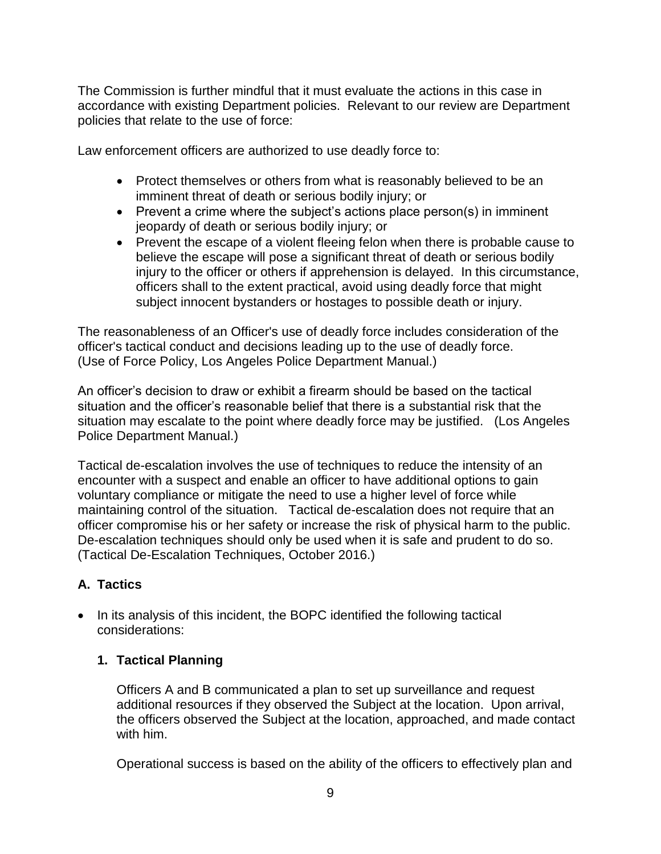The Commission is further mindful that it must evaluate the actions in this case in accordance with existing Department policies. Relevant to our review are Department policies that relate to the use of force:

Law enforcement officers are authorized to use deadly force to:

- Protect themselves or others from what is reasonably believed to be an imminent threat of death or serious bodily injury; or
- Prevent a crime where the subject's actions place person(s) in imminent jeopardy of death or serious bodily injury; or
- Prevent the escape of a violent fleeing felon when there is probable cause to believe the escape will pose a significant threat of death or serious bodily injury to the officer or others if apprehension is delayed. In this circumstance, officers shall to the extent practical, avoid using deadly force that might subject innocent bystanders or hostages to possible death or injury.

The reasonableness of an Officer's use of deadly force includes consideration of the officer's tactical conduct and decisions leading up to the use of deadly force. (Use of Force Policy, Los Angeles Police Department Manual.)

An officer's decision to draw or exhibit a firearm should be based on the tactical situation and the officer's reasonable belief that there is a substantial risk that the situation may escalate to the point where deadly force may be justified. (Los Angeles Police Department Manual.)

Tactical de-escalation involves the use of techniques to reduce the intensity of an encounter with a suspect and enable an officer to have additional options to gain voluntary compliance or mitigate the need to use a higher level of force while maintaining control of the situation. Tactical de-escalation does not require that an officer compromise his or her safety or increase the risk of physical harm to the public. De-escalation techniques should only be used when it is safe and prudent to do so. (Tactical De-Escalation Techniques, October 2016.)

# **A. Tactics**

• In its analysis of this incident, the BOPC identified the following tactical considerations:

# **1. Tactical Planning**

Officers A and B communicated a plan to set up surveillance and request additional resources if they observed the Subject at the location. Upon arrival, the officers observed the Subject at the location, approached, and made contact with him.

Operational success is based on the ability of the officers to effectively plan and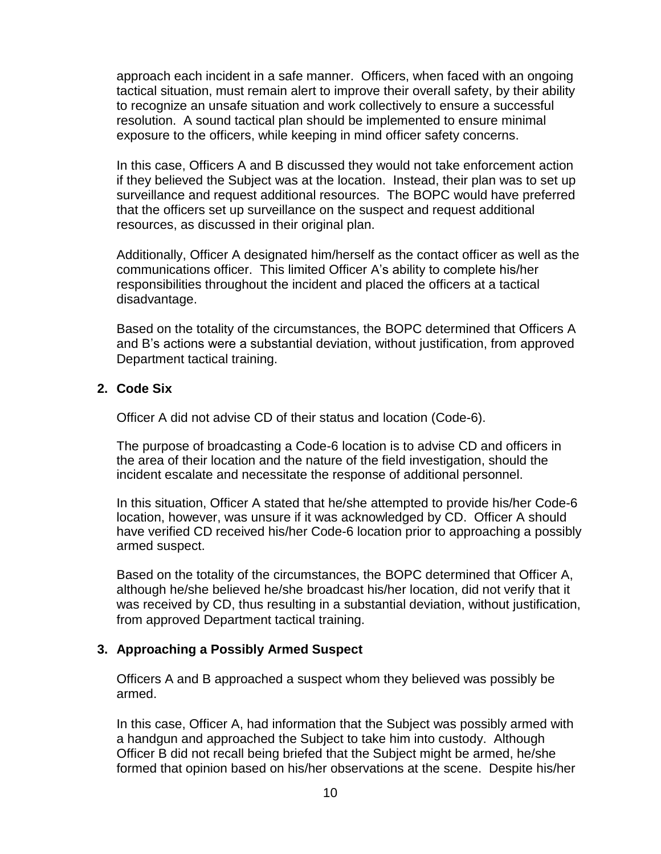approach each incident in a safe manner. Officers, when faced with an ongoing tactical situation, must remain alert to improve their overall safety, by their ability to recognize an unsafe situation and work collectively to ensure a successful resolution. A sound tactical plan should be implemented to ensure minimal exposure to the officers, while keeping in mind officer safety concerns.

In this case, Officers A and B discussed they would not take enforcement action if they believed the Subject was at the location. Instead, their plan was to set up surveillance and request additional resources. The BOPC would have preferred that the officers set up surveillance on the suspect and request additional resources, as discussed in their original plan.

Additionally, Officer A designated him/herself as the contact officer as well as the communications officer. This limited Officer A's ability to complete his/her responsibilities throughout the incident and placed the officers at a tactical disadvantage.

Based on the totality of the circumstances, the BOPC determined that Officers A and B's actions were a substantial deviation, without justification, from approved Department tactical training.

#### **2. Code Six**

Officer A did not advise CD of their status and location (Code-6).

The purpose of broadcasting a Code-6 location is to advise CD and officers in the area of their location and the nature of the field investigation, should the incident escalate and necessitate the response of additional personnel.

In this situation, Officer A stated that he/she attempted to provide his/her Code-6 location, however, was unsure if it was acknowledged by CD. Officer A should have verified CD received his/her Code-6 location prior to approaching a possibly armed suspect.

Based on the totality of the circumstances, the BOPC determined that Officer A, although he/she believed he/she broadcast his/her location, did not verify that it was received by CD, thus resulting in a substantial deviation, without justification, from approved Department tactical training.

### **3. Approaching a Possibly Armed Suspect**

Officers A and B approached a suspect whom they believed was possibly be armed.

In this case, Officer A, had information that the Subject was possibly armed with a handgun and approached the Subject to take him into custody. Although Officer B did not recall being briefed that the Subject might be armed, he/she formed that opinion based on his/her observations at the scene. Despite his/her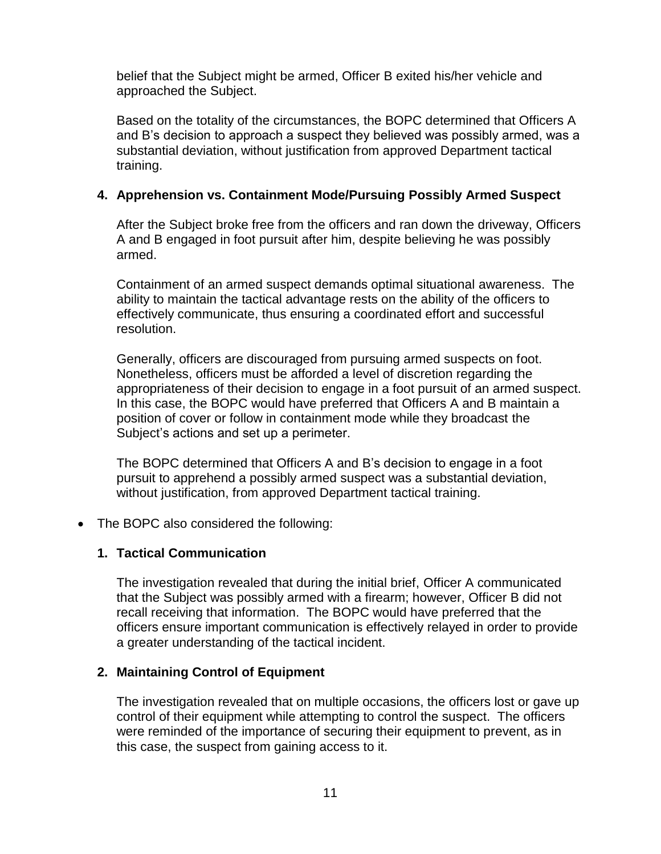belief that the Subject might be armed, Officer B exited his/her vehicle and approached the Subject.

Based on the totality of the circumstances, the BOPC determined that Officers A and B's decision to approach a suspect they believed was possibly armed, was a substantial deviation, without justification from approved Department tactical training.

## **4. Apprehension vs. Containment Mode/Pursuing Possibly Armed Suspect**

After the Subject broke free from the officers and ran down the driveway, Officers A and B engaged in foot pursuit after him, despite believing he was possibly armed.

Containment of an armed suspect demands optimal situational awareness. The ability to maintain the tactical advantage rests on the ability of the officers to effectively communicate, thus ensuring a coordinated effort and successful resolution.

Generally, officers are discouraged from pursuing armed suspects on foot. Nonetheless, officers must be afforded a level of discretion regarding the appropriateness of their decision to engage in a foot pursuit of an armed suspect. In this case, the BOPC would have preferred that Officers A and B maintain a position of cover or follow in containment mode while they broadcast the Subject's actions and set up a perimeter.

The BOPC determined that Officers A and B's decision to engage in a foot pursuit to apprehend a possibly armed suspect was a substantial deviation, without justification, from approved Department tactical training.

### • The BOPC also considered the following:

#### **1. Tactical Communication**

The investigation revealed that during the initial brief, Officer A communicated that the Subject was possibly armed with a firearm; however, Officer B did not recall receiving that information. The BOPC would have preferred that the officers ensure important communication is effectively relayed in order to provide a greater understanding of the tactical incident.

### **2. Maintaining Control of Equipment**

The investigation revealed that on multiple occasions, the officers lost or gave up control of their equipment while attempting to control the suspect. The officers were reminded of the importance of securing their equipment to prevent, as in this case, the suspect from gaining access to it.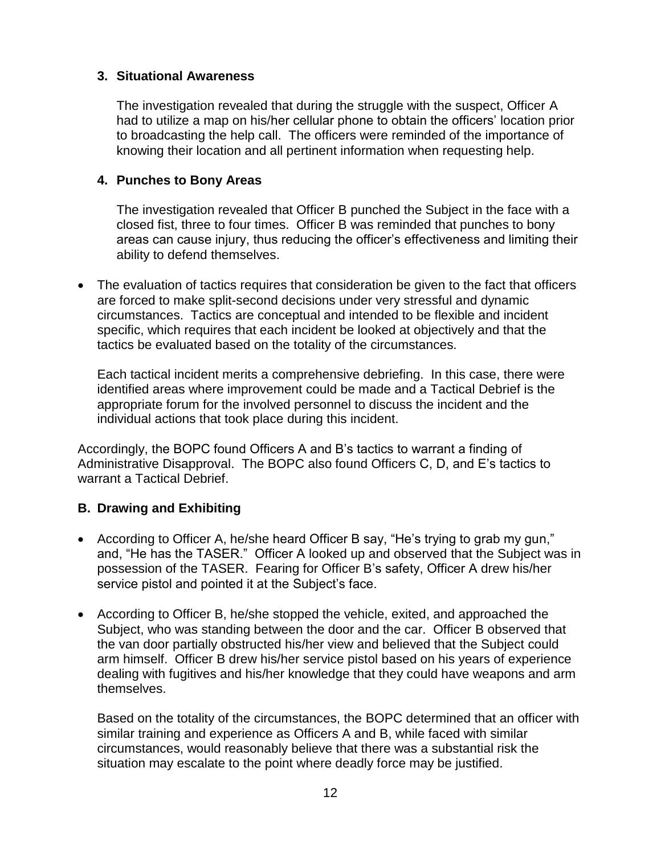### **3. Situational Awareness**

The investigation revealed that during the struggle with the suspect, Officer A had to utilize a map on his/her cellular phone to obtain the officers' location prior to broadcasting the help call. The officers were reminded of the importance of knowing their location and all pertinent information when requesting help.

## **4. Punches to Bony Areas**

The investigation revealed that Officer B punched the Subject in the face with a closed fist, three to four times. Officer B was reminded that punches to bony areas can cause injury, thus reducing the officer's effectiveness and limiting their ability to defend themselves.

• The evaluation of tactics requires that consideration be given to the fact that officers are forced to make split-second decisions under very stressful and dynamic circumstances. Tactics are conceptual and intended to be flexible and incident specific, which requires that each incident be looked at objectively and that the tactics be evaluated based on the totality of the circumstances.

Each tactical incident merits a comprehensive debriefing. In this case, there were identified areas where improvement could be made and a Tactical Debrief is the appropriate forum for the involved personnel to discuss the incident and the individual actions that took place during this incident.

Accordingly, the BOPC found Officers A and B's tactics to warrant a finding of Administrative Disapproval. The BOPC also found Officers C, D, and E's tactics to warrant a Tactical Debrief.

# **B. Drawing and Exhibiting**

- According to Officer A, he/she heard Officer B say, "He's trying to grab my gun," and, "He has the TASER." Officer A looked up and observed that the Subject was in possession of the TASER. Fearing for Officer B's safety, Officer A drew his/her service pistol and pointed it at the Subject's face.
- According to Officer B, he/she stopped the vehicle, exited, and approached the Subject, who was standing between the door and the car. Officer B observed that the van door partially obstructed his/her view and believed that the Subject could arm himself. Officer B drew his/her service pistol based on his years of experience dealing with fugitives and his/her knowledge that they could have weapons and arm themselves.

Based on the totality of the circumstances, the BOPC determined that an officer with similar training and experience as Officers A and B, while faced with similar circumstances, would reasonably believe that there was a substantial risk the situation may escalate to the point where deadly force may be justified.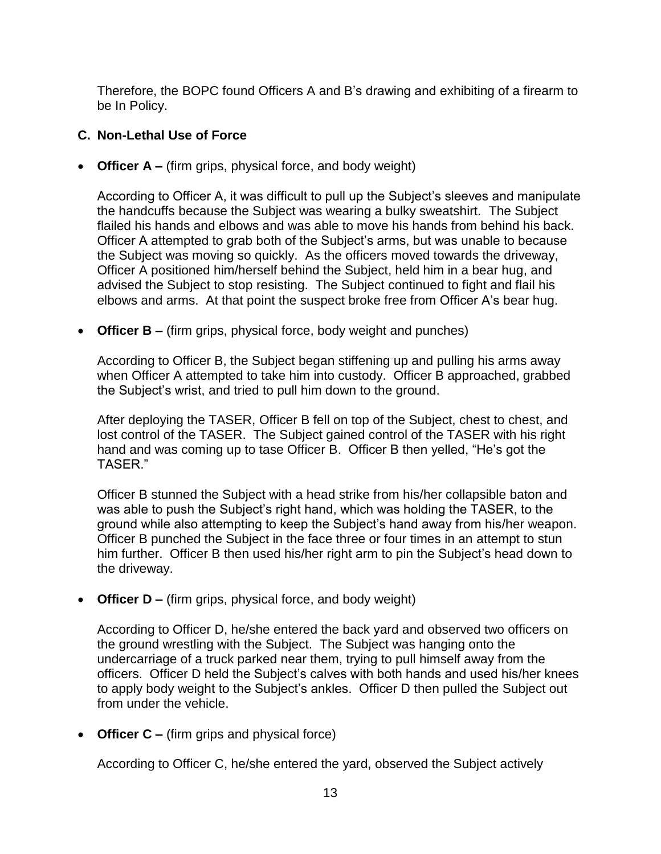Therefore, the BOPC found Officers A and B's drawing and exhibiting of a firearm to be In Policy.

## **C. Non-Lethal Use of Force**

• **Officer A –** (firm grips, physical force, and body weight)

According to Officer A, it was difficult to pull up the Subject's sleeves and manipulate the handcuffs because the Subject was wearing a bulky sweatshirt. The Subject flailed his hands and elbows and was able to move his hands from behind his back. Officer A attempted to grab both of the Subject's arms, but was unable to because the Subject was moving so quickly. As the officers moved towards the driveway, Officer A positioned him/herself behind the Subject, held him in a bear hug, and advised the Subject to stop resisting. The Subject continued to fight and flail his elbows and arms. At that point the suspect broke free from Officer A's bear hug.

• **Officer B –** (firm grips, physical force, body weight and punches)

According to Officer B, the Subject began stiffening up and pulling his arms away when Officer A attempted to take him into custody. Officer B approached, grabbed the Subject's wrist, and tried to pull him down to the ground.

After deploying the TASER, Officer B fell on top of the Subject, chest to chest, and lost control of the TASER. The Subject gained control of the TASER with his right hand and was coming up to tase Officer B. Officer B then yelled, "He's got the TASER."

Officer B stunned the Subject with a head strike from his/her collapsible baton and was able to push the Subject's right hand, which was holding the TASER, to the ground while also attempting to keep the Subject's hand away from his/her weapon. Officer B punched the Subject in the face three or four times in an attempt to stun him further. Officer B then used his/her right arm to pin the Subject's head down to the driveway.

• **Officer D –** (firm grips, physical force, and body weight)

According to Officer D, he/she entered the back yard and observed two officers on the ground wrestling with the Subject. The Subject was hanging onto the undercarriage of a truck parked near them, trying to pull himself away from the officers. Officer D held the Subject's calves with both hands and used his/her knees to apply body weight to the Subject's ankles. Officer D then pulled the Subject out from under the vehicle.

• **Officer C –** (firm grips and physical force)

According to Officer C, he/she entered the yard, observed the Subject actively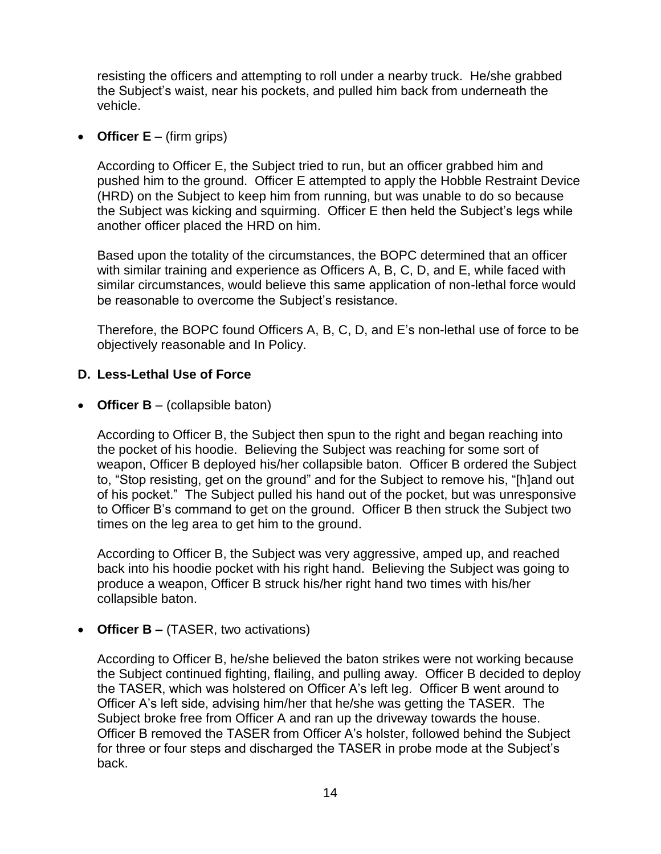resisting the officers and attempting to roll under a nearby truck. He/she grabbed the Subject's waist, near his pockets, and pulled him back from underneath the vehicle.

• **Officer E** – (firm grips)

According to Officer E, the Subject tried to run, but an officer grabbed him and pushed him to the ground. Officer E attempted to apply the Hobble Restraint Device (HRD) on the Subject to keep him from running, but was unable to do so because the Subject was kicking and squirming. Officer E then held the Subject's legs while another officer placed the HRD on him.

Based upon the totality of the circumstances, the BOPC determined that an officer with similar training and experience as Officers A, B, C, D, and E, while faced with similar circumstances, would believe this same application of non-lethal force would be reasonable to overcome the Subject's resistance.

Therefore, the BOPC found Officers A, B, C, D, and E's non-lethal use of force to be objectively reasonable and In Policy.

## **D. Less-Lethal Use of Force**

• **Officer B** – (collapsible baton)

According to Officer B, the Subject then spun to the right and began reaching into the pocket of his hoodie. Believing the Subject was reaching for some sort of weapon, Officer B deployed his/her collapsible baton. Officer B ordered the Subject to, "Stop resisting, get on the ground" and for the Subject to remove his, "[h]and out of his pocket." The Subject pulled his hand out of the pocket, but was unresponsive to Officer B's command to get on the ground. Officer B then struck the Subject two times on the leg area to get him to the ground.

According to Officer B, the Subject was very aggressive, amped up, and reached back into his hoodie pocket with his right hand. Believing the Subject was going to produce a weapon, Officer B struck his/her right hand two times with his/her collapsible baton.

• **Officer B –** (TASER, two activations)

According to Officer B, he/she believed the baton strikes were not working because the Subject continued fighting, flailing, and pulling away. Officer B decided to deploy the TASER, which was holstered on Officer A's left leg. Officer B went around to Officer A's left side, advising him/her that he/she was getting the TASER. The Subject broke free from Officer A and ran up the driveway towards the house. Officer B removed the TASER from Officer A's holster, followed behind the Subject for three or four steps and discharged the TASER in probe mode at the Subject's back.